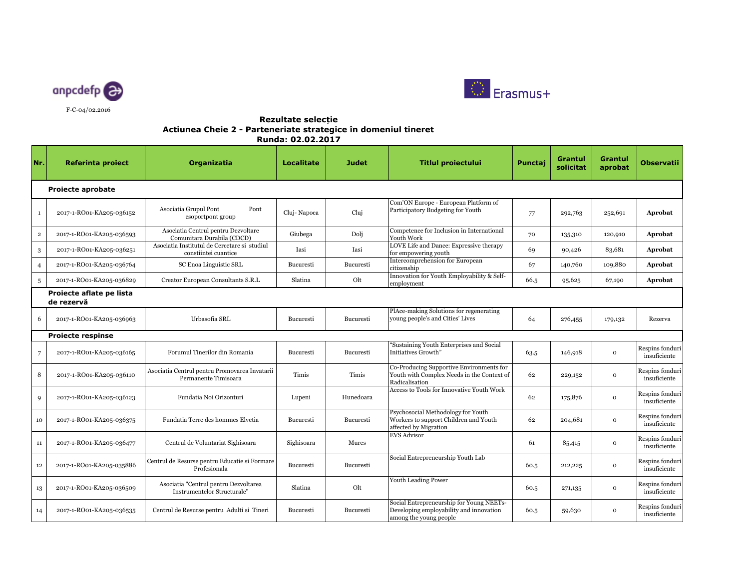



## **Rezultate selecțieActiunea Cheie 2 - Parteneriate strategice în domeniul tineret Runda: 02.02.2017**

| Nr.                                    | <b>Referinta proiect</b> | Organizatia                                                           | <b>Localitate</b> | <b>Judet</b>     | <b>Titlul proiectului</b>                                                                                     | Punctaj | <b>Grantul</b><br>solicitat | <b>Grantul</b><br>aprobat | <b>Observatii</b>               |  |  |
|----------------------------------------|--------------------------|-----------------------------------------------------------------------|-------------------|------------------|---------------------------------------------------------------------------------------------------------------|---------|-----------------------------|---------------------------|---------------------------------|--|--|
| <b>Projecte aprobate</b>               |                          |                                                                       |                   |                  |                                                                                                               |         |                             |                           |                                 |  |  |
| $\mathbf{1}$                           | 2017-1-RO01-KA205-036152 | Asociatia Grupul Pont<br>Pont<br>csoportpont group                    | Cluj-Napoca       | Cluj             | Com'ON Europe - European Platform of<br>Participatory Budgeting for Youth                                     | 77      | 292,763                     | 252,691                   | Aprobat                         |  |  |
| $\mathbf 2$                            | 2017-1-RO01-KA205-036593 | Asociatia Centrul pentru Dezvoltare<br>Comunitara Durabila (CDCD)     | Giubega           | Dolj             | Competence for Inclusion in International<br>Youth Work                                                       | 70      | 135,310                     | 120,910                   | Aprobat                         |  |  |
| 3                                      | 2017-1-RO01-KA205-036251 | Asociatia Institutul de Cercetare si studiul<br>constiintei cuantice  | Iasi              | Iasi             | LOVE Life and Dance: Expressive therapy<br>for empowering youth                                               | 69      | 90,426                      | 83,681                    | Aprobat                         |  |  |
| $\overline{4}$                         | 2017-1-RO01-KA205-036764 | SC Enoa Linguistic SRL                                                | Bucuresti         | Bucuresti        | Intercomprehension for European<br>citizenship                                                                | 67      | 140,760                     | 109,880                   | Aprobat                         |  |  |
| 5                                      | 2017-1-RO01-KA205-036829 | Creator European Consultants S.R.L                                    | Slatina           | Olt              | Innovation for Youth Employability & Self-<br>employment                                                      | 66.5    | 95,625                      | 67,190                    | Aprobat                         |  |  |
| Proiecte aflate pe lista<br>de rezervă |                          |                                                                       |                   |                  |                                                                                                               |         |                             |                           |                                 |  |  |
| 6                                      | 2017-1-RO01-KA205-036963 | Urbasofia SRL                                                         | Bucuresti         | Bucuresti        | PlAce-making Solutions for regenerating<br>young people's and Cities' Lives                                   | 64      | 276,455                     | 179,132                   | Rezerva                         |  |  |
|                                        | <b>Proiecte respinse</b> |                                                                       |                   |                  |                                                                                                               |         |                             |                           |                                 |  |  |
| $7\overline{ }$                        | 2017-1-RO01-KA205-036165 | Forumul Tinerilor din Romania                                         | Bucuresti         | <b>Bucuresti</b> | "Sustaining Youth Enterprises and Social<br>Initiatives Growth"                                               | 63.5    | 146,918                     | $\mathbf 0$               | Respins fonduri<br>insuficiente |  |  |
| 8                                      | 2017-1-RO01-KA205-036110 | Asociatia Centrul pentru Promovarea Invatarii<br>Permanente Timisoara | Timis             | Timis            | Co-Producing Supportive Environments for<br>Youth with Complex Needs in the Context of<br>Radicalisation      | 62      | 229,152                     | $\mathbf{o}$              | Respins fonduri<br>insuficiente |  |  |
| 9                                      | 2017-1-RO01-KA205-036123 | Fundatia Noi Orizonturi                                               | Lupeni            | Hunedoara        | <b>Access to Tools for Innovative Youth Work</b>                                                              | 62      | 175,876                     | $\mathbf{o}$              | Respins fonduri<br>insuficiente |  |  |
| 10                                     | 2017-1-RO01-KA205-036375 | Fundatia Terre des hommes Elvetia                                     | Bucuresti         | Bucuresti        | Psychosocial Methodology for Youth<br>Workers to support Children and Youth<br>affected by Migration          | 62      | 204,681                     | $\mathbf 0$               | Respins fonduri<br>insuficiente |  |  |
| $11\,$                                 | 2017-1-RO01-KA205-036477 | Centrul de Voluntariat Sighisoara                                     | Sighisoara        | <b>Mures</b>     | <b>EVS Advisor</b>                                                                                            | 61      | 85,415                      | $\mathbf{o}$              | Respins fonduri<br>insuficiente |  |  |
| $12\,$                                 | 2017-1-RO01-KA205-035886 | Centrul de Resurse pentru Educatie si Formare<br>Profesionala         | Bucuresti         | Bucuresti        | Social Entrepreneurship Youth Lab                                                                             | 60.5    | 212,225                     | $\mathbf 0$               | Respins fonduri<br>insuficiente |  |  |
| 13                                     | 2017-1-RO01-KA205-036509 | Asociatia "Centrul pentru Dezvoltarea<br>Instrumentelor Structurale"  | Slatina           | Olt              | <b>Youth Leading Power</b>                                                                                    | 60.5    | 271,135                     | $\mathbf 0$               | Respins fonduri<br>insuficiente |  |  |
| 14                                     | 2017-1-RO01-KA205-036535 | Centrul de Resurse pentru Adulti si Tineri                            | <b>Bucuresti</b>  | Bucuresti        | Social Entrepreneurship for Young NEETs-<br>Developing employability and innovation<br>among the young people | 60.5    | 59,630                      | $\mathbf 0$               | Respins fonduri<br>insuficiente |  |  |